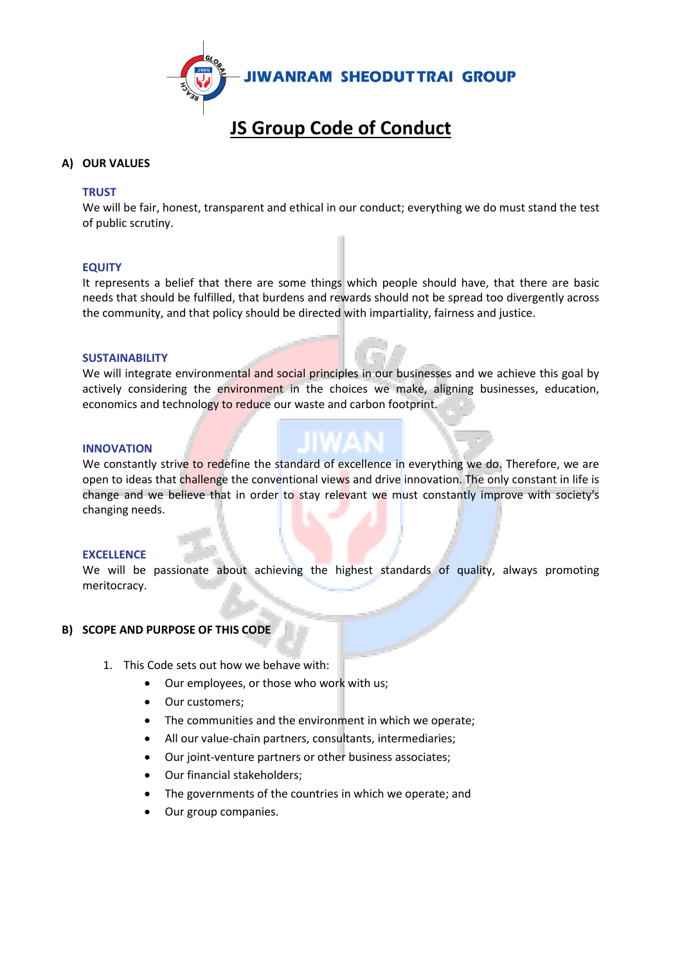

# **JS Group Code of Conduct**

# **A) OUR VALUES**

#### **TRUST**

We will be fair, honest, transparent and ethical in our conduct; everything we do must stand the test of public scrutiny.

#### **EQUITY**

It represents a belief that there are some things which people should have, that there are basic needs that should be fulfilled, that burdens and rewards should not be spread too divergently across the community, and that policy should be directed with impartiality, fairness and justice.

#### **SUSTAINABILITY**

We will integrate environmental and social principles in our businesses and we achieve this goal by actively considering the environment in the choices we make, aligning businesses, education, economics and technology to reduce our waste and carbon footprint.

#### **INNOVATION**

We constantly strive to redefine the standard of excellence in everything we do. Therefore, we are open to ideas that challenge the conventional views and drive innovation. The only constant in life is change and we believe that in order to stay relevant we must constantly improve with society's changing needs.

#### **EXCELLENCE**

We will be passionate about achieving the highest standards of quality, always promoting meritocracy.

# **B) SCOPE AND PURPOSE OF THIS CODE**

- 1. This Code sets out how we behave with:
	- Our employees, or those who work with us;
	- Our customers:
	- The communities and the environment in which we operate;
	- All our value-chain partners, consultants, intermediaries;
	- Our joint-venture partners or other business associates;
	- Our financial stakeholders;
	- The governments of the countries in which we operate; and
	- Our group companies.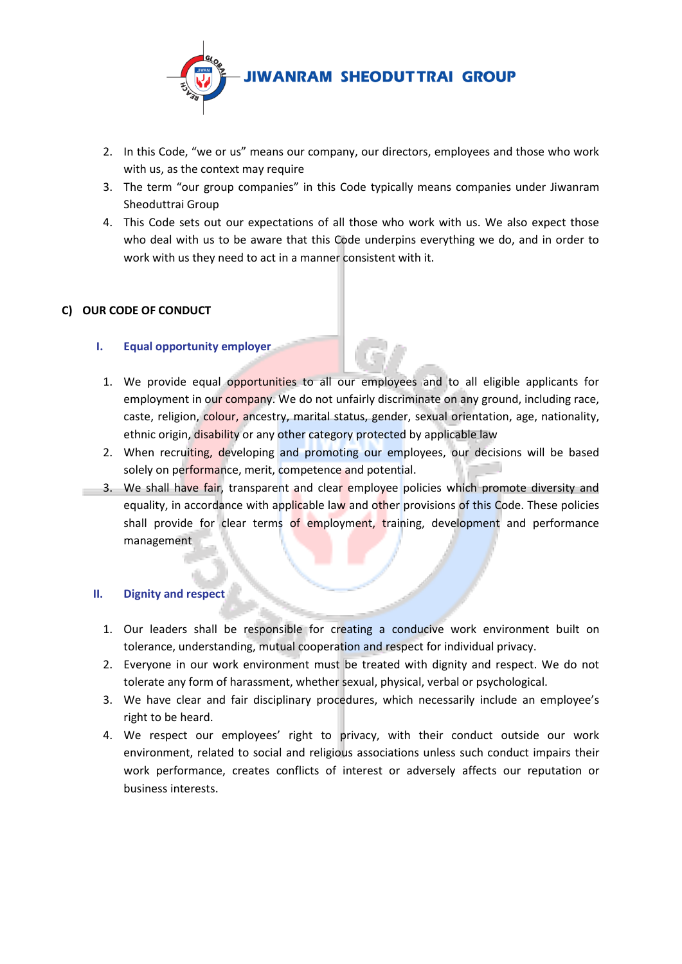

- 2. In this Code, "we or us" means our company, our directors, employees and those who work with us, as the context may require
- 3. The term "our group companies" in this Code typically means companies under Jiwanram Sheoduttrai Group
- 4. This Code sets out our expectations of all those who work with us. We also expect those who deal with us to be aware that this Code underpins everything we do, and in order to work with us they need to act in a manner consistent with it.

# **C) OUR CODE OF CONDUCT**

# **I. Equal opportunity employer**

- 1. We provide equal opportunities to all our employees and to all eligible applicants for employment in our company. We do not unfairly discriminate on any ground, including race, caste, religion, colour, ancestry, marital status, gender, sexual orientation, age, nationality, ethnic origin, disability or any other category protected by applicable law
- 2. When recruiting, developing and promoting our employees, our decisions will be based solely on performance, merit, competence and potential.
- 3. We shall have fair, transparent and clear employee policies which promote diversity and equality, in accordance with applicable law and other provisions of this Code. These policies shall provide for clear terms of employment, training, development and performance management

# **II. Dignity and respect**

- 1. Our leaders shall be responsible for creating a conducive work environment built on tolerance, understanding, mutual cooperation and respect for individual privacy.
- 2. Everyone in our work environment must be treated with dignity and respect. We do not tolerate any form of harassment, whether sexual, physical, verbal or psychological.
- 3. We have clear and fair disciplinary procedures, which necessarily include an employee's right to be heard.
- 4. We respect our employees' right to privacy, with their conduct outside our work environment, related to social and religious associations unless such conduct impairs their work performance, creates conflicts of interest or adversely affects our reputation or business interests.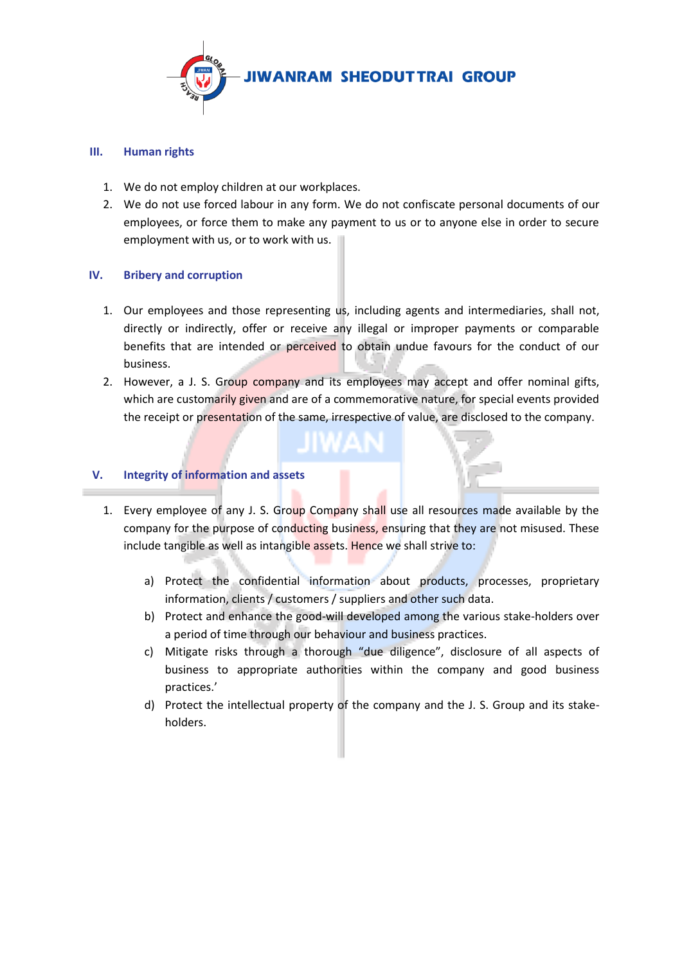

# **III. Human rights**

- 1. We do not employ children at our workplaces.
- 2. We do not use forced labour in any form. We do not confiscate personal documents of our employees, or force them to make any payment to us or to anyone else in order to secure employment with us, or to work with us.

# **IV. Bribery and corruption**

- 1. Our employees and those representing us, including agents and intermediaries, shall not, directly or indirectly, offer or receive any illegal or improper payments or comparable benefits that are intended or perceived to obtain undue favours for the conduct of our business.
- 2. However, a J. S. Group company and its employees may accept and offer nominal gifts, which are customarily given and are of a commemorative nature, for special events provided the receipt or presentation of the same, irrespective of value, are disclosed to the company.

# **V. Integrity of information and assets**

- 1. Every employee of any J. S. Group Company shall use all resources made available by the company for the purpose of conducting business, ensuring that they are not misused. These include tangible as well as intangible assets. Hence we shall strive to:
	- a) Protect the confidential information about products, processes, proprietary information, clients / customers / suppliers and other such data.
	- b) Protect and enhance the good-will developed among the various stake-holders over a period of time through our behaviour and business practices.
	- c) Mitigate risks through a thorough "due diligence", disclosure of all aspects of business to appropriate authorities within the company and good business practices.'
	- d) Protect the intellectual property of the company and the J. S. Group and its stakeholders.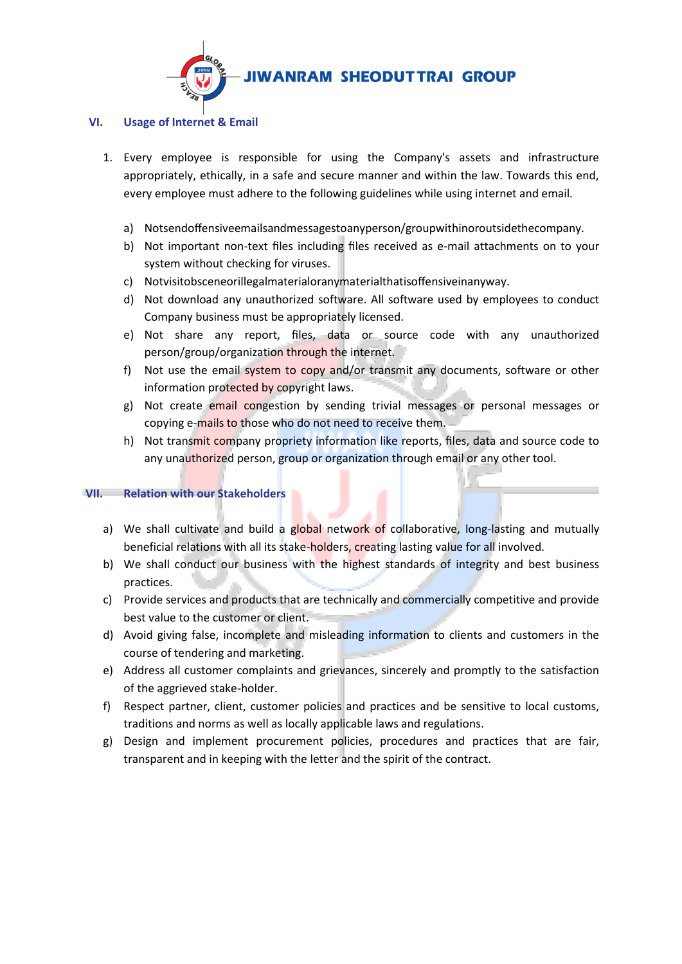

# **VI. Usage of Internet & Email**

- 1. Every employee is responsible for using the Company's assets and infrastructure appropriately, ethically, in a safe and secure manner and within the law. Towards this end, every employee must adhere to the following guidelines while using internet and email.
	- a) Notsendoffensiveemailsandmessagestoanyperson/groupwithinoroutsidethecompany.
	- b) Not important non-text files including files received as e-mail attachments on to your system without checking for viruses.
	- c) Notvisitobsceneorillegalmaterialoranymaterialthatisoffensiveinanyway.
	- d) Not download any unauthorized software. All software used by employees to conduct Company business must be appropriately licensed.
	- e) Not share any report, files, data or source code with any unauthorized person/group/organization through the internet.
	- f) Not use the email system to copy and/or transmit any documents, software or other information protected by copyright laws.
	- g) Not create email congestion by sending trivial messages or personal messages or copying e-mails to those who do not need to receive them.
	- h) Not transmit company propriety information like reports, files, data and source code to any unauthorized person, group or organization through email or any other tool.

# **VII. Relation with our Stakeholders**

- a) We shall cultivate and build a global network of collaborative, long-lasting and mutually beneficial relations with all its stake-holders, creating lasting value for all involved.
- b) We shall conduct our business with the highest standards of integrity and best business practices.
- c) Provide services and products that are technically and commercially competitive and provide best value to the customer or client.
- d) Avoid giving false, incomplete and misleading information to clients and customers in the course of tendering and marketing.
- e) Address all customer complaints and grievances, sincerely and promptly to the satisfaction of the aggrieved stake-holder.
- f) Respect partner, client, customer policies and practices and be sensitive to local customs, traditions and norms as well as locally applicable laws and regulations.
- g) Design and implement procurement policies, procedures and practices that are fair, transparent and in keeping with the letter and the spirit of the contract.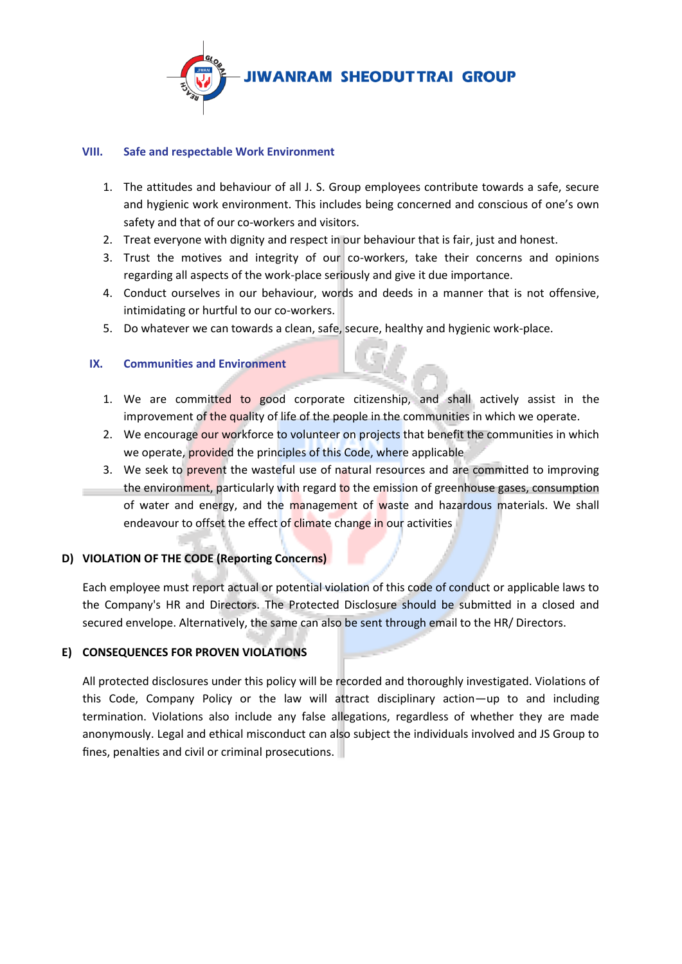

#### **VIII. Safe and respectable Work Environment**

- 1. The attitudes and behaviour of all J. S. Group employees contribute towards a safe, secure and hygienic work environment. This includes being concerned and conscious of one's own safety and that of our co-workers and visitors.
- 2. Treat everyone with dignity and respect in our behaviour that is fair, just and honest.
- 3. Trust the motives and integrity of our co-workers, take their concerns and opinions regarding all aspects of the work-place seriously and give it due importance.
- 4. Conduct ourselves in our behaviour, words and deeds in a manner that is not offensive, intimidating or hurtful to our co-workers.
- 5. Do whatever we can towards a clean, safe, secure, healthy and hygienic work-place.

# **IX. Communities and Environment**

- 1. We are committed to good corporate citizenship, and shall actively assist in the improvement of the quality of life of the people in the communities in which we operate.
- 2. We encourage our workforce to volunteer on projects that benefit the communities in which we operate, provided the principles of this Code, where applicable
- 3. We seek to prevent the wasteful use of natural resources and are committed to improving the environment, particularly with regard to the emission of greenhouse gases, consumption of water and energy, and the management of waste and hazardous materials. We shall endeavour to offset the effect of climate change in our activities

# **D) VIOLATION OF THE CODE (Reporting Concerns)**

Each employee must report actual or potential violation of this code of conduct or applicable laws to the Company's HR and Directors. The Protected Disclosure should be submitted in a closed and secured envelope. Alternatively, the same can also be sent through email to the HR/ Directors.

# **E) CONSEQUENCES FOR PROVEN VIOLATIONS**

All protected disclosures under this policy will be recorded and thoroughly investigated. Violations of this Code, Company Policy or the law will attract disciplinary action—up to and including termination. Violations also include any false allegations, regardless of whether they are made anonymously. Legal and ethical misconduct can also subject the individuals involved and JS Group to fines, penalties and civil or criminal prosecutions.